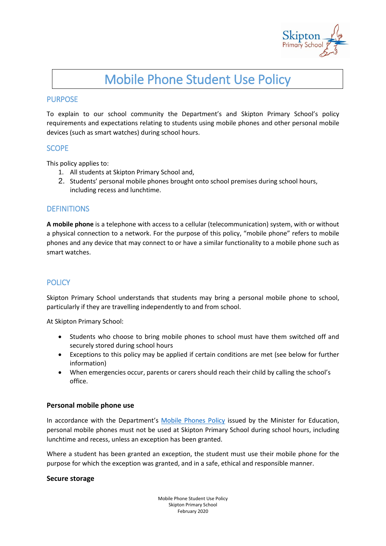

# Mobile Phone Student Use Policy

# PURPOSE

To explain to our school community the Department's and Skipton Primary School's policy requirements and expectations relating to students using mobile phones and other personal mobile devices (such as smart watches) during school hours.

# **SCOPE**

This policy applies to:

- 1. All students at Skipton Primary School and,
- 2. Students' personal mobile phones brought onto school premises during school hours, including recess and lunchtime.

# **DEFINITIONS**

**A mobile phone** is a telephone with access to a cellular (telecommunication) system, with or without a physical connection to a network. For the purpose of this policy, "mobile phone" refers to mobile phones and any device that may connect to or have a similar functionality to a mobile phone such as smart watches.

# **POLICY**

Skipton Primary School understands that students may bring a personal mobile phone to school, particularly if they are travelling independently to and from school.

At Skipton Primary School:

- Students who choose to bring mobile phones to school must have them switched off and securely stored during school hours
- Exceptions to this policy may be applied if certain conditions are met (see below for further information)
- When emergencies occur, parents or carers should reach their child by calling the school's office.

#### **Personal mobile phone use**

In accordance with the Department's [Mobile Phones Policy](https://www.education.vic.gov.au/school/principals/spag/safety/Pages/mobilephones.aspx) issued by the Minister for Education, personal mobile phones must not be used at Skipton Primary School during school hours, including lunchtime and recess, unless an exception has been granted.

Where a student has been granted an exception, the student must use their mobile phone for the purpose for which the exception was granted, and in a safe, ethical and responsible manner.

#### **Secure storage**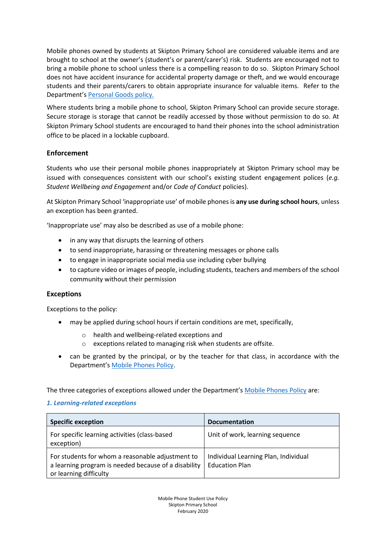Mobile phones owned by students at Skipton Primary School are considered valuable items and are brought to school at the owner's (student's or parent/carer's) risk. Students are encouraged not to bring a mobile phone to school unless there is a compelling reason to do so. Skipton Primary School does not have accident insurance for accidental property damage or theft, and we would encourage students and their parents/carers to obtain appropriate insurance for valuable items. Refer to the Department's [Personal Goods](https://www.education.vic.gov.au/school/principals/spag/governance/pages/personalgoods.aspx) policy.

Where students bring a mobile phone to school, Skipton Primary School can provide secure storage. Secure storage is storage that cannot be readily accessed by those without permission to do so. At Skipton Primary School students are encouraged to hand their phones into the school administration office to be placed in a lockable cupboard.

# **Enforcement**

Students who use their personal mobile phones inappropriately at Skipton Primary school may be issued with consequences consistent with our school's existing student engagement polices (*e.g. Student Wellbeing and Engagement* and/or *Code of Conduct* policies).

At Skipton Primary School 'inappropriate use' of mobile phones is **any use during school hours**, unless an exception has been granted.

'Inappropriate use' may also be described as use of a mobile phone:

- in any way that disrupts the learning of others
- to send inappropriate, harassing or threatening messages or phone calls
- to engage in inappropriate social media use including cyber bullying
- to capture video or images of people, including students, teachers and members of the school community without their permission

#### **Exceptions**

Exceptions to the policy:

- may be applied during school hours if certain conditions are met, specifically,
	- o health and wellbeing-related exceptions and
	- o exceptions related to managing risk when students are offsite.
- can be granted by the principal, or by the teacher for that class, in accordance with the Department's [Mobile Phones Policy.](https://www.education.vic.gov.au/school/principals/spag/safety/Pages/mobilephones.aspx)

The three categories of exceptions allowed under the Department's [Mobile Phones Policy](https://www.education.vic.gov.au/school/principals/spag/safety/Pages/mobilephones.aspx) are:

#### *1. Learning-related exceptions*

| <b>Specific exception</b>                                                                                                          | <b>Documentation</b>                                          |
|------------------------------------------------------------------------------------------------------------------------------------|---------------------------------------------------------------|
| For specific learning activities (class-based<br>exception)                                                                        | Unit of work, learning sequence                               |
| For students for whom a reasonable adjustment to<br>a learning program is needed because of a disability<br>or learning difficulty | Individual Learning Plan, Individual<br><b>Education Plan</b> |